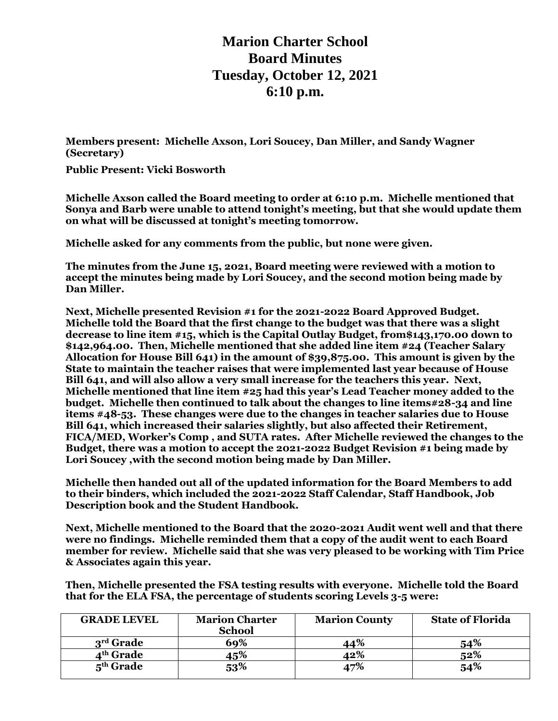**Marion Charter School Board Minutes Tuesday, October 12, 2021 6:10 p.m.**

**Members present: Michelle Axson, Lori Soucey, Dan Miller, and Sandy Wagner (Secretary)**

**Public Present: Vicki Bosworth**

**Michelle Axson called the Board meeting to order at 6:10 p.m. Michelle mentioned that Sonya and Barb were unable to attend tonight's meeting, but that she would update them on what will be discussed at tonight's meeting tomorrow.**

**Michelle asked for any comments from the public, but none were given.**

**The minutes from the June 15, 2021, Board meeting were reviewed with a motion to accept the minutes being made by Lori Soucey, and the second motion being made by Dan Miller.**

**Next, Michelle presented Revision #1 for the 2021-2022 Board Approved Budget. Michelle told the Board that the first change to the budget was that there was a slight decrease to line item #15, which is the Capital Outlay Budget, from\$143,170.00 down to \$142,964.00. Then, Michelle mentioned that she added line item #24 (Teacher Salary Allocation for House Bill 641) in the amount of \$39,875.00. This amount is given by the State to maintain the teacher raises that were implemented last year because of House Bill 641, and will also allow a very small increase for the teachers this year. Next, Michelle mentioned that line item #25 had this year's Lead Teacher money added to the budget. Michelle then continued to talk about the changes to line items#28-34 and line items #48-53. These changes were due to the changes in teacher salaries due to House Bill 641, which increased their salaries slightly, but also affected their Retirement, FICA/MED, Worker's Comp , and SUTA rates. After Michelle reviewed the changes to the Budget, there was a motion to accept the 2021-2022 Budget Revision #1 being made by Lori Soucey ,with the second motion being made by Dan Miller.** 

**Michelle then handed out all of the updated information for the Board Members to add to their binders, which included the 2021-2022 Staff Calendar, Staff Handbook, Job Description book and the Student Handbook.** 

**Next, Michelle mentioned to the Board that the 2020-2021 Audit went well and that there were no findings. Michelle reminded them that a copy of the audit went to each Board member for review. Michelle said that she was very pleased to be working with Tim Price & Associates again this year.**

**Then, Michelle presented the FSA testing results with everyone. Michelle told the Board that for the ELA FSA, the percentage of students scoring Levels 3-5 were:**

| <b>GRADE LEVEL</b>    | <b>Marion Charter</b><br><b>School</b> | <b>Marion County</b> | <b>State of Florida</b> |
|-----------------------|----------------------------------------|----------------------|-------------------------|
| $3rd$ Grade           | 69%                                    | 44%                  | 54%                     |
| 4 <sup>th</sup> Grade | 15%                                    | 12%                  | 52%                     |
| $5th$ Grade           | 53%                                    | 47%                  | 54%                     |